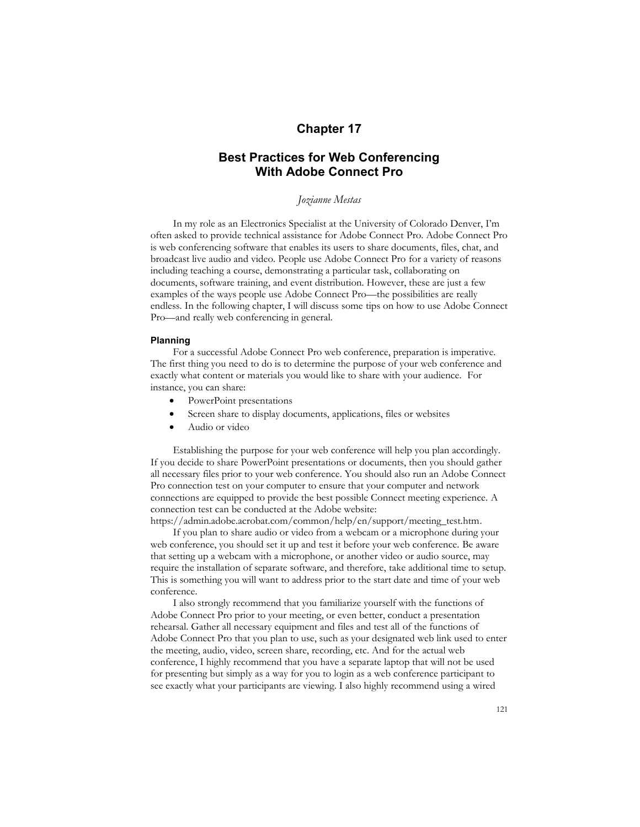# **Chapter 17**

# **Best Practices for Web Conferencing With Adobe Connect Pro**

## *Jozianne Mestas*

In my role as an Electronics Specialist at the University of Colorado Denver, I'm often asked to provide technical assistance for Adobe Connect Pro. Adobe Connect Pro is web conferencing software that enables its users to share documents, files, chat, and broadcast live audio and video. People use Adobe Connect Pro for a variety of reasons including teaching a course, demonstrating a particular task, collaborating on documents, software training, and event distribution. However, these are just a few examples of the ways people use Adobe Connect Pro—the possibilities are really endless. In the following chapter, I will discuss some tips on how to use Adobe Connect Pro—and really web conferencing in general.

## **Planning**

For a successful Adobe Connect Pro web conference, preparation is imperative. The first thing you need to do is to determine the purpose of your web conference and exactly what content or materials you would like to share with your audience. For instance, you can share:

- PowerPoint presentations
- Screen share to display documents, applications, files or websites
- Audio or video

Establishing the purpose for your web conference will help you plan accordingly. If you decide to share PowerPoint presentations or documents, then you should gather all necessary files prior to your web conference. You should also run an Adobe Connect Pro connection test on your computer to ensure that your computer and network connections are equipped to provide the best possible Connect meeting experience. A connection test can be conducted at the Adobe website: https://admin.adobe.acrobat.com/common/help/en/support/meeting\_test.htm.

If you plan to share audio or video from a webcam or a microphone during your web conference, you should set it up and test it before your web conference. Be aware that setting up a webcam with a microphone, or another video or audio source, may require the installation of separate software, and therefore, take additional time to setup. This is something you will want to address prior to the start date and time of your web conference.

I also strongly recommend that you familiarize yourself with the functions of Adobe Connect Pro prior to your meeting, or even better, conduct a presentation rehearsal. Gather all necessary equipment and files and test all of the functions of Adobe Connect Pro that you plan to use, such as your designated web link used to enter the meeting, audio, video, screen share, recording, etc. And for the actual web conference, I highly recommend that you have a separate laptop that will not be used for presenting but simply as a way for you to login as a web conference participant to see exactly what your participants are viewing. I also highly recommend using a wired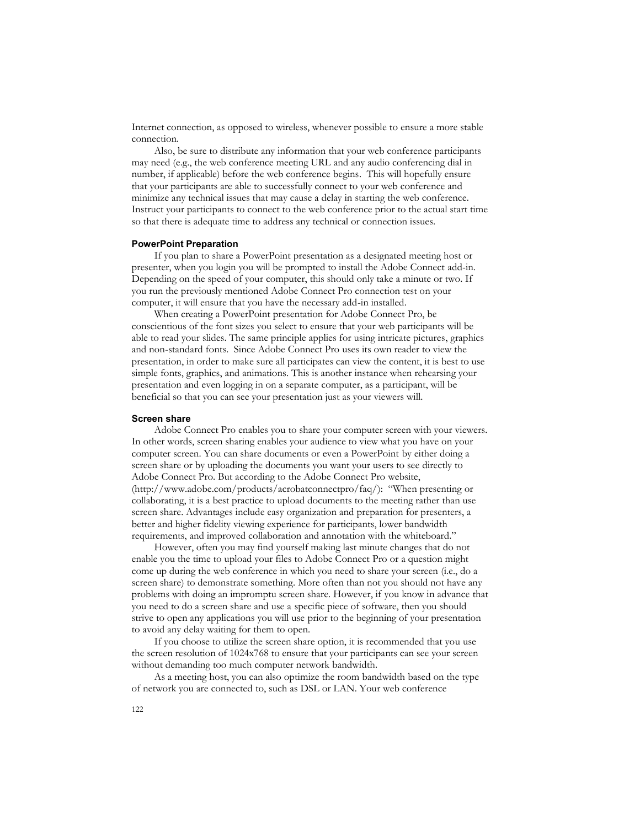Internet connection, as opposed to wireless, whenever possible to ensure a more stable connection.

Also, be sure to distribute any information that your web conference participants may need (e.g., the web conference meeting URL and any audio conferencing dial in number, if applicable) before the web conference begins. This will hopefully ensure that your participants are able to successfully connect to your web conference and minimize any technical issues that may cause a delay in starting the web conference. Instruct your participants to connect to the web conference prior to the actual start time so that there is adequate time to address any technical or connection issues.

#### **PowerPoint Preparation**

If you plan to share a PowerPoint presentation as a designated meeting host or presenter, when you login you will be prompted to install the Adobe Connect add-in. Depending on the speed of your computer, this should only take a minute or two. If you run the previously mentioned Adobe Connect Pro connection test on your computer, it will ensure that you have the necessary add-in installed.

When creating a PowerPoint presentation for Adobe Connect Pro, be conscientious of the font sizes you select to ensure that your web participants will be able to read your slides. The same principle applies for using intricate pictures, graphics and non-standard fonts. Since Adobe Connect Pro uses its own reader to view the presentation, in order to make sure all participates can view the content, it is best to use simple fonts, graphics, and animations. This is another instance when rehearsing your presentation and even logging in on a separate computer, as a participant, will be beneficial so that you can see your presentation just as your viewers will.

### **Screen share**

Adobe Connect Pro enables you to share your computer screen with your viewers. In other words, screen sharing enables your audience to view what you have on your computer screen. You can share documents or even a PowerPoint by either doing a screen share or by uploading the documents you want your users to see directly to Adobe Connect Pro. But according to the Adobe Connect Pro website, (http://www.adobe.com/products/acrobatconnectpro/faq/): "When presenting or collaborating, it is a best practice to upload documents to the meeting rather than use screen share. Advantages include easy organization and preparation for presenters, a better and higher fidelity viewing experience for participants, lower bandwidth requirements, and improved collaboration and annotation with the whiteboard."

However, often you may find yourself making last minute changes that do not enable you the time to upload your files to Adobe Connect Pro or a question might come up during the web conference in which you need to share your screen (i.e., do a screen share) to demonstrate something. More often than not you should not have any problems with doing an impromptu screen share. However, if you know in advance that you need to do a screen share and use a specific piece of software, then you should strive to open any applications you will use prior to the beginning of your presentation to avoid any delay waiting for them to open.

If you choose to utilize the screen share option, it is recommended that you use the screen resolution of 1024x768 to ensure that your participants can see your screen without demanding too much computer network bandwidth.

As a meeting host, you can also optimize the room bandwidth based on the type of network you are connected to, such as DSL or LAN. Your web conference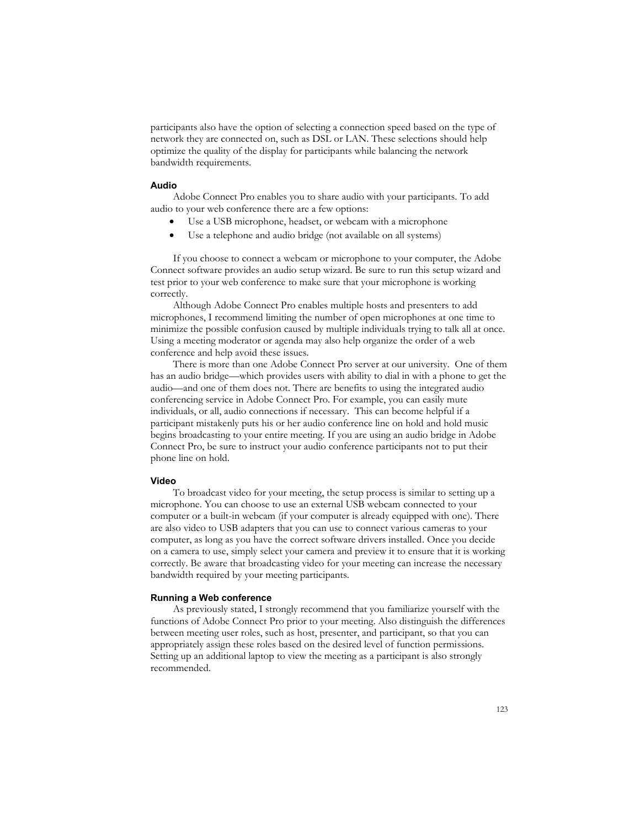participants also have the option of selecting a connection speed based on the type of network they are connected on, such as DSL or LAN. These selections should help optimize the quality of the display for participants while balancing the network bandwidth requirements.

## **Audio**

Adobe Connect Pro enables you to share audio with your participants. To add audio to your web conference there are a few options:

- Use a USB microphone, headset, or webcam with a microphone
- Use a telephone and audio bridge (not available on all systems)

If you choose to connect a webcam or microphone to your computer, the Adobe Connect software provides an audio setup wizard. Be sure to run this setup wizard and test prior to your web conference to make sure that your microphone is working correctly.

Although Adobe Connect Pro enables multiple hosts and presenters to add microphones, I recommend limiting the number of open microphones at one time to minimize the possible confusion caused by multiple individuals trying to talk all at once. Using a meeting moderator or agenda may also help organize the order of a web conference and help avoid these issues.

There is more than one Adobe Connect Pro server at our university. One of them has an audio bridge—which provides users with ability to dial in with a phone to get the audio—and one of them does not. There are benefits to using the integrated audio conferencing service in Adobe Connect Pro. For example, you can easily mute individuals, or all, audio connections if necessary. This can become helpful if a participant mistakenly puts his or her audio conference line on hold and hold music begins broadcasting to your entire meeting. If you are using an audio bridge in Adobe Connect Pro, be sure to instruct your audio conference participants not to put their phone line on hold.

#### **Video**

To broadcast video for your meeting, the setup process is similar to setting up a microphone. You can choose to use an external USB webcam connected to your computer or a built-in webcam (if your computer is already equipped with one). There are also video to USB adapters that you can use to connect various cameras to your computer, as long as you have the correct software drivers installed. Once you decide on a camera to use, simply select your camera and preview it to ensure that it is working correctly. Be aware that broadcasting video for your meeting can increase the necessary bandwidth required by your meeting participants.

### **Running a Web conference**

As previously stated, I strongly recommend that you familiarize yourself with the functions of Adobe Connect Pro prior to your meeting. Also distinguish the differences between meeting user roles, such as host, presenter, and participant, so that you can appropriately assign these roles based on the desired level of function permissions. Setting up an additional laptop to view the meeting as a participant is also strongly recommended.